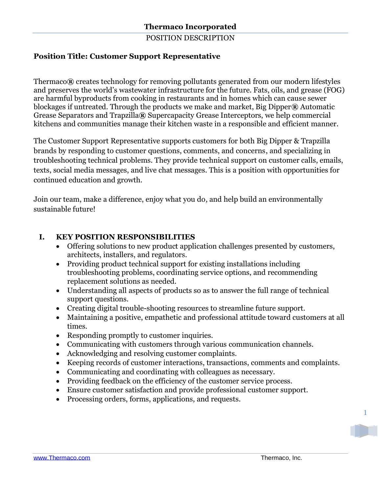### POSITION DESCRIPTION

# **Position Title: Customer Support Representative**

Thermaco**®** creates technology for removing pollutants generated from our modern lifestyles and preserves the world's wastewater infrastructure for the future. Fats, oils, and grease (FOG) are harmful byproducts from cooking in restaurants and in homes which can cause sewer blockages if untreated. Through the products we make and market, Big Dipper**®** Automatic Grease Separators and Trapzilla**®** Supercapacity Grease Interceptors, we help commercial kitchens and communities manage their kitchen waste in a responsible and efficient manner.

The Customer Support Representative supports customers for both Big Dipper & Trapzilla brands by responding to customer questions, comments, and concerns, and specializing in troubleshooting technical problems. They provide technical support on customer calls, emails, texts, social media messages, and live chat messages. This is a position with opportunities for continued education and growth.

Join our team, make a difference, enjoy what you do, and help build an environmentally sustainable future!

# **I. KEY POSITION RESPONSIBILITIES**

- Offering solutions to new product application challenges presented by customers, architects, installers, and regulators.
- Providing product technical support for existing installations including troubleshooting problems, coordinating service options, and recommending replacement solutions as needed.
- Understanding all aspects of products so as to answer the full range of technical support questions.
- Creating digital trouble-shooting resources to streamline future support.
- Maintaining a positive, empathetic and professional attitude toward customers at all times.
- Responding promptly to customer inquiries.
- Communicating with customers through various communication channels.
- Acknowledging and resolving customer complaints.
- Keeping records of customer interactions, transactions, comments and complaints.
- Communicating and coordinating with colleagues as necessary.
- Providing feedback on the efficiency of the customer service process.
- Ensure customer satisfaction and provide professional customer support.
- Processing orders, forms, applications, and requests.

1